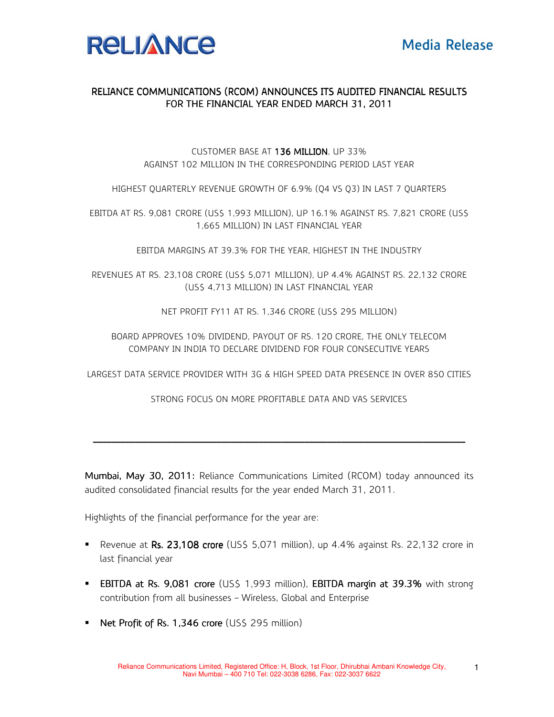

## RELIANCE COMMUNICATIONS (RCOM) ANNOUNCES ITS AUDITED FINANCIAL RESULTS FOR THE FINANCIAL YEAR ENDED MARCH 31, 2011

## CUSTOMER BASE AT 136 MILLION, UP 33% AGAINST 102 MILLION IN THE CORRESPONDING PERIOD LAST YEAR

HIGHEST QUARTERLY REVENUE GROWTH OF 6.9% (Q4 VS Q3) IN LAST 7 QUARTERS

EBITDA AT RS. 9,081 CRORE (US\$ 1,993 MILLION), UP 16.1% AGAINST RS. 7,821 CRORE (US\$ 1,665 MILLION) IN LAST FINANCIAL YEAR

EBITDA MARGINS AT 39.3% FOR THE YEAR, HIGHEST IN THE INDUSTRY

REVENUES AT RS. 23,108 CRORE (US\$ 5,071 MILLION), UP 4.4% AGAINST RS. 22,132 CRORE (US\$ 4,713 MILLION) IN LAST FINANCIAL YEAR

NET PROFIT FY11 AT RS. 1,346 CRORE (US\$ 295 MILLION)

BOARD APPROVES 10% DIVIDEND, PAYOUT OF RS. 120 CRORE, THE ONLY TELECOM COMPANY IN INDIA TO DECLARE DIVIDEND FOR FOUR CONSECUTIVE YEARS

LARGEST DATA SERVICE PROVIDER WITH 3G & HIGH SPEED DATA PRESENCE IN OVER 850 CITIES

STRONG FOCUS ON MORE PROFITABLE DATA AND VAS SERVICES

\_\_\_\_\_\_\_\_\_\_\_\_\_\_\_\_\_\_\_\_\_\_\_\_\_\_\_\_\_\_\_ \_\_\_\_\_\_\_\_\_\_\_\_\_\_\_\_\_\_\_\_\_\_\_\_\_\_\_\_\_\_\_\_\_\_\_\_\_\_\_\_\_\_\_\_\_\_\_\_\_\_\_\_\_\_\_\_\_\_\_\_ \_\_\_\_\_\_\_\_\_\_\_\_\_\_\_\_\_\_\_\_\_\_\_\_\_\_\_\_\_\_\_\_\_\_\_\_\_\_\_\_\_\_\_\_\_\_\_\_\_\_\_\_\_\_\_\_\_\_\_\_\_\_\_\_\_\_\_\_\_ \_\_\_\_\_\_\_\_\_\_\_ \_\_\_\_\_\_\_\_\_\_\_\_\_\_\_\_\_\_ \_\_\_\_\_\_\_\_\_\_\_\_\_\_\_\_\_

Mumbai, May 30, 2011: Reliance Communications Limited (RCOM) today announced its audited consolidated financial results for the year ended March 31, 2011.

Highlights of the financial performance for the year are:

- Revenue at Rs.  $23,108$  crore (US\$ 5,071 million), up  $4.4\%$  against Rs.  $22,132$  crore in last financial year
- **EBITDA at Rs. 9,081 crore** (US\$ 1,993 million), **EBITDA margin at 39.3%** with strong contribution from all businesses – Wireless, Global and Enterprise
- Net Profit of Rs. 1,346 crore (US\$ 295 million)

1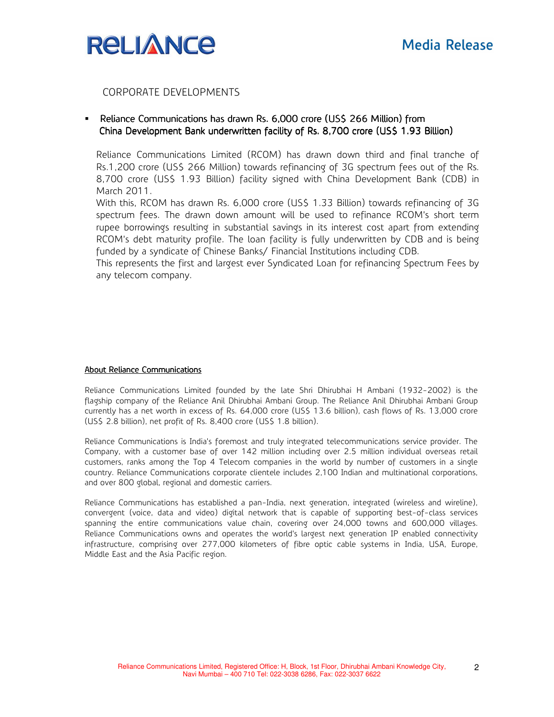

CORPORATE DEVELOPMENTS

**Phance Communications has drawn Rs. 6,000 crore (US\$ 266 Million) from Million** China Development Bank underwritten facility of Rs. 8,700 crore (US\$ 1.93 Billion)

Reliance Communications Limited (RCOM) has drawn down third and final tranche of Rs.1,200 crore (US\$ 266 Million) towards refinancing of 3G spectrum fees out of the Rs. 8,700 crore (US\$ 1.93 Billion) facility signed with China Development Bank (CDB) in March 2011.

With this, RCOM has drawn Rs. 6,000 crore (US\$ 1.33 Billion) towards refinancing of 3G spectrum fees. The drawn down amount will be used to refinance RCOM's short term rupee borrowings resulting in substantial savings in its interest cost apart from extending RCOM's debt maturity profile. The loan facility is fully underwritten by CDB and is being funded by a syndicate of Chinese Banks/ Financial Institutions including CDB.

This represents the first and largest ever Syndicated Loan for refinancing Spectrum Fees by any telecom company.

## About Reliance Communications

Reliance Communications Limited founded by the late Shri Dhirubhai H Ambani (1932-2002) is the flagship company of the Reliance Anil Dhirubhai Ambani Group. The Reliance Anil Dhirubhai Ambani Group currently has a net worth in excess of Rs. 64,000 crore (US\$ 13.6 billion), cash flows of Rs. 13,000 crore (US\$ 2.8 billion), net profit of Rs. 8,400 crore (US\$ 1.8 billion).

Reliance Communications is India's foremost and truly integrated telecommunications service provider. The Company, with a customer base of over 142 million including over 2.5 million individual overseas retail customers, ranks among the Top 4 Telecom companies in the world by number of customers in a single country. Reliance Communications corporate clientele includes 2,100 Indian and multinational corporations, and over 800 global, regional and domestic carriers.

Reliance Communications has established a pan-India, next generation, integrated (wireless and wireline), convergent (voice, data and video) digital network that is capable of supporting best-of-class services spanning the entire communications value chain, covering over 24,000 towns and 600,000 villages. Reliance Communications owns and operates the world's largest next generation IP enabled connectivity infrastructure, comprising over 277,000 kilometers of fibre optic cable systems in India, USA, Europe, Middle East and the Asia Pacific region.

2